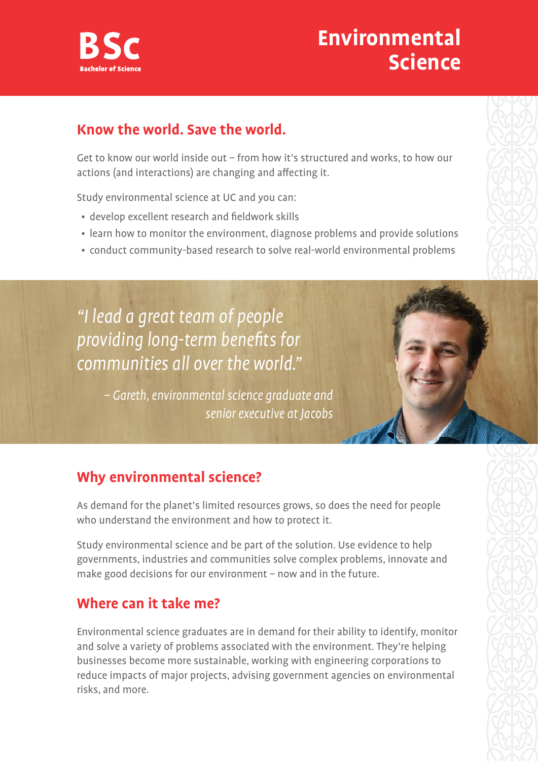

# **Environmental Science**

### **Know the world. Save the world.**

Get to know our world inside out – from how it's structured and works, to how our actions (and interactions) are changing and affecting it.

Study environmental science at UC and you can:

- develop excellent research and fieldwork skills
- learn how to monitor the environment, diagnose problems and provide solutions
- conduct community-based research to solve real-world environmental problems

"I lead a great team of people providing long-term benefits for communities all over the world."

> – Gareth, environmental science graduate and senior executive at Jacobs



## **Why environmental science?**

As demand for the planet's limited resources grows, so does the need for people who understand the environment and how to protect it.

Study environmental science and be part of the solution. Use evidence to help governments, industries and communities solve complex problems, innovate and make good decisions for our environment – now and in the future.

#### **Where can it take me?**

Environmental science graduates are in demand for their ability to identify, monitor and solve a variety of problems associated with the environment. They're helping businesses become more sustainable, working with engineering corporations to reduce impacts of major projects, advising government agencies on environmental risks, and more.